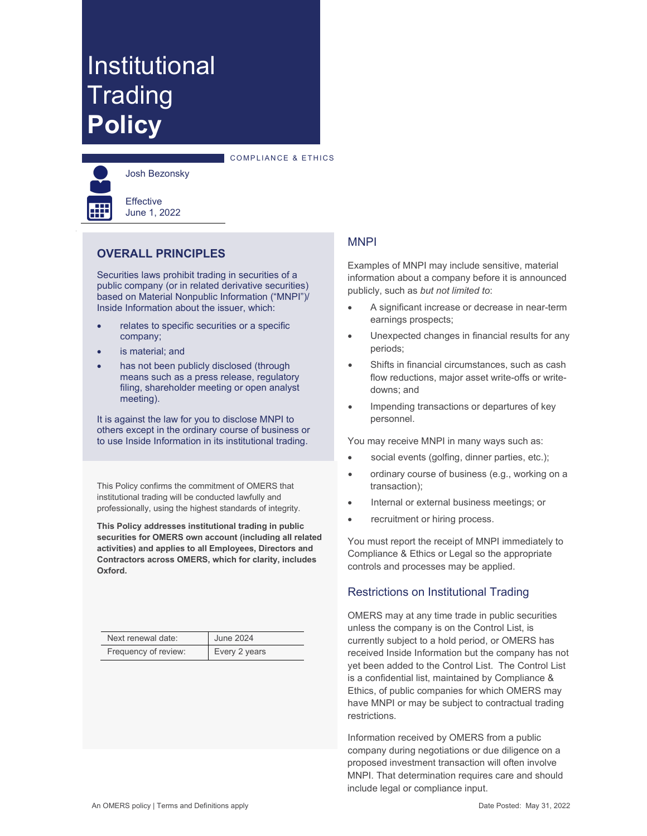# Institutional **Trading Policy**



Josh Bezonsky

**Effective** June 1, 2022

# **OVERALL PRINCIPLES**

Securities laws prohibit trading in securities of a public company (or in related derivative securities) based on Material Nonpublic Information ("MNPI")/ Inside Information about the issuer, which:

- relates to specific securities or a specific company;
- is material; and
- has not been publicly disclosed (through means such as a press release, regulatory filing, shareholder meeting or open analyst meeting).

It is against the law for you to disclose MNPI to others except in the ordinary course of business or to use Inside Information in its institutional trading.

This Policy confirms the commitment of OMERS that institutional trading will be conducted lawfully and professionally, using the highest standards of integrity.

**This Policy addresses institutional trading in public securities for OMERS own account (including all related activities) and applies to all Employees, Directors and Contractors across OMERS, which for clarity, includes Oxford.**

| Next renewal date:   | <b>June 2024</b> |
|----------------------|------------------|
| Frequency of review: | Every 2 years    |

# **MNPI**

COMPLIANCE & ETHICS

Examples of MNPI may include sensitive, material information about a company before it is announced publicly, such as *but not limited to*:

- A significant increase or decrease in near-term earnings prospects;
- Unexpected changes in financial results for any periods;
- Shifts in financial circumstances, such as cash flow reductions, major asset write-offs or writedowns; and
- Impending transactions or departures of key personnel.

You may receive MNPI in many ways such as:

- social events (golfing, dinner parties, etc.);
- ordinary course of business (e.g., working on a transaction);
- Internal or external business meetings; or
- recruitment or hiring process.

You must report the receipt of MNPI immediately to Compliance & Ethics or Legal so the appropriate controls and processes may be applied.

### Restrictions on Institutional Trading

OMERS may at any time trade in public securities unless the company is on the Control List, is currently subject to a hold period, or OMERS has received Inside Information but the company has not yet been added to the Control List. The Control List is a confidential list, maintained by Compliance & Ethics, of public companies for which OMERS may have MNPI or may be subject to contractual trading restrictions.

Information received by OMERS from a public company during negotiations or due diligence on a proposed investment transaction will often involve MNPI. That determination requires care and should include legal or compliance input.